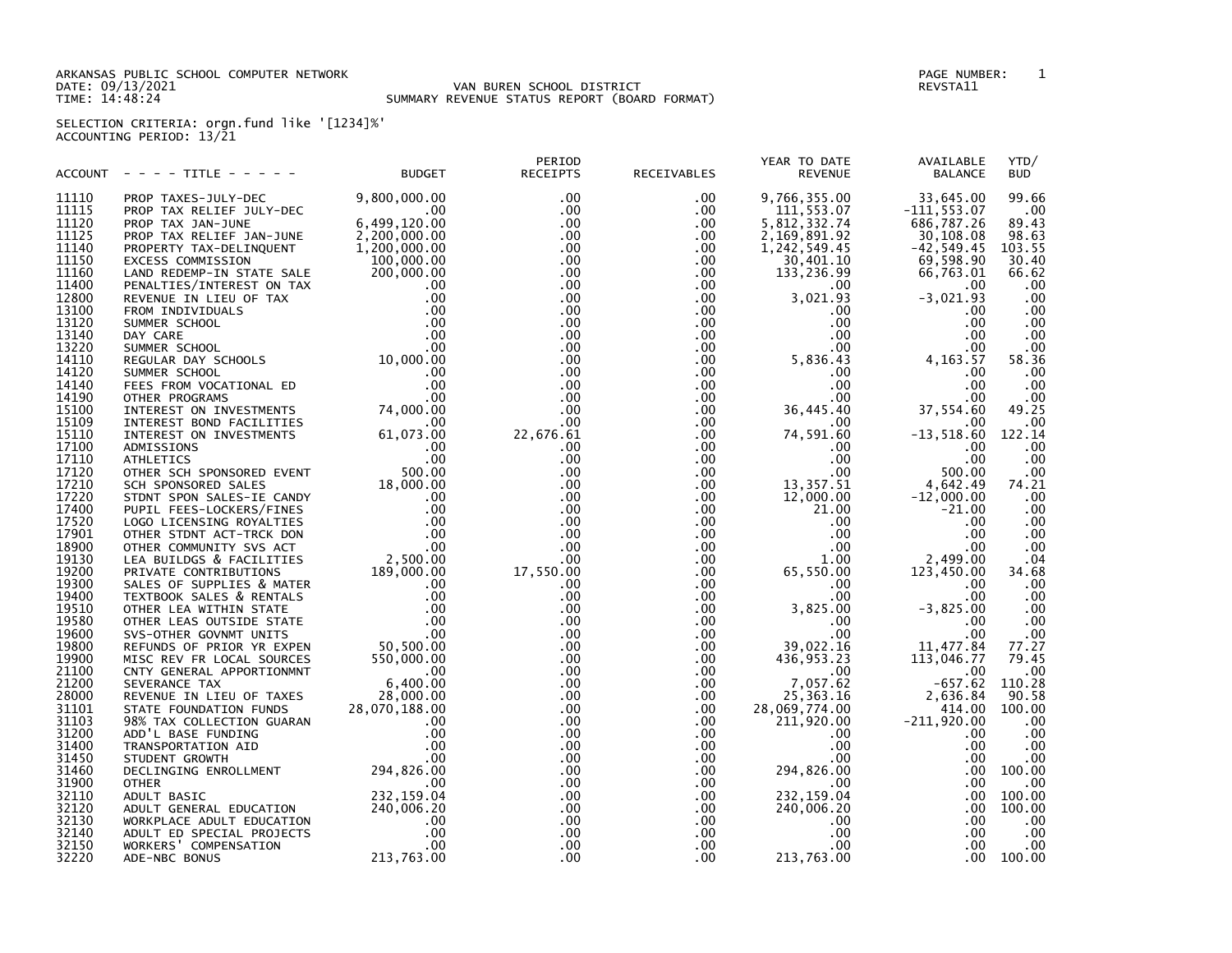ARKANSAS PUBLIC SCHOOL COMPUTER NETWORK PAGE NUMBER: 1

## DATE: 09/13/2021 VAN BUREN SCHOOL DISTRICT REVSTA11 TIME: 14:48:24 SUMMARY REVENUE STATUS REPORT (BOARD FORMAT)

SELECTION CRITERIA: orgn.fund like '[1234]%' ACCOUNTING PERIOD: 13/21

| 9,800,000.00<br>.00<br>9,766,355.00<br>33,645.00<br>99.66<br>11110<br>PROP TAXES-JULY-DEC<br>$.00 \,$<br>.00<br>11115<br>$.00 \,$<br>$.00 \,$<br>$.00 \,$<br>111,553.07<br>$-111, 553.07$<br>PROP TAX RELIEF JULY-DEC<br>6,499,120.00<br>89.43<br>11120<br>$.00 \,$<br>.00<br>5,812,332.74<br>686,787.26<br>PROP TAX JAN-JUNE<br>$2,755,120.00$<br>2,200,000.00<br>1.200.000<br>$.00 \,$<br>98.63<br>11125<br>.00<br>2,169,891.92<br>30,108.08<br>PROP TAX RELIEF JAN-JUNE<br>.00<br>.00<br>$-42,549.45$<br>103.55<br>11140<br>1,242,549.45<br>PROPERTY TAX-DELINQUENT<br>30.40<br>11150<br>100,000.00<br>$.00 \,$<br>$.00 \,$<br>69,598.90<br>30,401.10<br>EXCESS COMMISSION<br>66.62<br>11160<br>200,000.00<br>$.00 \,$<br>$.00 \,$<br>133,236.99<br>66,763.01<br>LAND REDEMP-IN STATE SALE<br>$.00 \,$<br>.00<br>.00<br>11400<br>$.00 \,$<br>.00<br>LAND REDEMP-IN STATE SALE<br>PENALTIES/INTEREST ON TAX<br>REVENUE IN LIEU OF TAX<br>00<br>REVENUE IN LIEU OF TAX<br>00<br>FROM INDIVIDUALS<br>SUMMER SCHOOL<br>00<br>DAY CARE<br>SUMMER SCHOOL<br>00<br>NEGULAR DAY SCHOOLS<br>00<br>SUMMER SCHOOL<br>00<br>SU<br>.00<br>12800<br>.00<br>.00<br>3,021.93<br>$-3,021.93$<br>$.00 \,$<br>$.00 \,$<br>.00<br>13100<br>$.00 \,$<br>.00.<br>.00<br>$.00 \,$<br>.00<br>13120<br>$.00 \,$<br>.00<br>13140<br>.00.<br>.00<br>.00<br>.00<br>.00<br>$.00 \,$<br>$.00 \,$<br>$.00 \,$<br>.00<br>13220<br>.00.<br>14110<br>.00<br>$.00 \,$<br>5,836.43<br>4, 163.57<br>58.36<br>$.00 \,$<br>.00<br>.00<br>14120<br>.00<br>$.00 \,$<br>.00<br>$.00 \,$<br>.00<br>.00<br>14140<br>.00<br>14190<br>.00<br>$.00 \,$<br>$.00 \,$<br>.00<br>.00<br>49.25<br>15100<br>$.00 \,$<br>$.00 \,$<br>36,445.40<br>37,554.60<br>15109<br>.00<br>.00<br>$.00 \,$<br>$.00 \,$<br>.00<br>$-13,518.60$<br>122.14<br>15110<br>22,676.61<br>$.00 \,$<br>74,591.60<br>.00<br>$.00 \,$<br>.00<br>17100<br>$.00 \,$<br>$.00 \,$<br>.00<br>.00<br>.00<br>17110<br>$.00 \,$<br>$.00 \,$<br>.00<br><b>ATHLETICS</b><br>OUTHER SCH SPONSORED EVENT<br>SCH SPONSORED SALES<br>SCH SPONSORED SALES<br>TDAT SPON SALES<br>PUPIL FEES-LOCKERS/FINES<br>LOGO LICENSING ROYALTIES<br>CON LOGO LICENSING ROYALTIES<br>OTHER STDNT ACT-TRCK DON<br>OTHER COMMUNITY SVS ACT<br>LE<br>500.00<br>17120<br>$.00 \,$<br>$.00 \,$<br>$.00 \,$<br>.00<br>13,357.51<br>4,642.49<br>17210<br>$.00 \,$<br>$.00 \,$<br>74.21<br>17220<br>$.00 \,$<br>$.00 \,$<br>12,000.00<br>$-12,000.00$<br>.00<br>17400<br>.00<br>.00<br>21.00<br>$-21.00$<br>.00<br>.00<br>17520<br>$.00 \,$<br>$.00 \,$<br>$.00 \,$<br>.00<br>.00<br>.00<br>$.00 \,$<br>$.00 \,$<br>.00<br>.00<br>$.00 \,$<br>$.00 \,$<br>$.00 \,$<br>.00<br>2,499.00<br>$.00 \,$<br>1.00<br>.04<br>19130<br>.00<br>17,550.00<br>65,550.00<br>123,450.00<br>19200<br>$.00 \,$<br>34.68<br>$.00 \,$<br>$.00 \,$<br>.00<br>SALES OF SUPPLIES & MATER<br>.00<br>$.00 \times$<br>$0.00$<br>$0.00$<br>$0.00$<br>$0.00$<br>$0.00$<br>$50,500.00$<br>.00<br>19400<br>TEXTBOOK SALES & RENTALS<br>.00<br>$.00 \,$<br>$.00 \,$<br>.00.<br>19510<br>$.00 \,$<br>$.00 \,$<br>3,825.00<br>$-3,825.00$<br>.00<br>OTHER LEA WITHIN STATE<br>.00<br>19580<br>$.00 \,$<br>$.00 \,$<br>$.00 \,$<br>OTHER LEAS OUTSIDE STATE<br>.00<br>19600<br>.00<br>$.00 \,$<br>$.00 \,$<br>.00<br>SVS-OTHER GOVNMT UNITS<br>.00.<br>$.00 \,$<br>39,022.16<br>11,477.84<br>77.27<br>19800<br>$.00 \,$<br>REFUNDS OF PRIOR YR EXPEN<br>79.45<br>19900<br>$.00 \times$<br>550,000.00<br>.00<br>436,953.23<br>113,046.77<br>MISC REV FR LOCAL SOURCES<br>21100<br>.00<br>$.00 \,$<br>$.00 \,$<br>CNTY GENERAL APPORTIONMNT<br>6,400.00<br>$.00 \,$<br>.00<br>7,057.62<br>$-657.62$<br>110.28<br>$.00 \,$<br>21200<br>.00<br>SEVERANCE TAX<br>28,000.00<br>25, 363. 16<br>2,636.84<br>90.58<br>100.00<br>28000<br>$.00 \,$<br>.00<br>REVENUE IN LIEU OF TAXES 28,C<br>STATE FOUNDATION FUNDS 28,070,1<br>98% TAX COLLECTION GUARAN<br>ADD'L BASE FUNDING<br>TRANSPORTATION AID<br>STUDENT GROWTH<br>28,070,188.00<br>28,069,774.00<br>31101<br>$.00 \,$<br>.00<br>414.00<br>211,920.00<br>$-211,920.00$<br>.00<br>31103<br>$.00 \,$<br>.00<br>.00<br>.00<br>31200<br>$.00 \,$<br>.00<br>$.00 \,$<br>$.00 \,$<br>.00.<br>31400<br>$.00 \,$<br>$.00 \,$<br>$.00 \,$<br>$.00 \,$<br>.00<br>$.00 \,$<br>31450<br>$.00 \,$<br>$.00 \,$<br>$.00 \,$<br>$.00 \,$<br>.00<br>.00<br>STUDENT GROWTH<br>DECLINGING ENROLLMENT 294,826.00<br>.00 <sub>1</sub><br>294,826.00<br>.00<br>100.00<br>31460<br>$.00 \,$<br>31900<br>.00.<br>$.00 \,$<br>$.00 \,$<br>$.00 \,$<br>.00<br>.00<br><b>OTHER</b><br>232,159.04<br>232, 159.04<br>100.00<br>32110<br>$.00 \,$<br>$.00 \,$<br>.00<br>ADULT BASIC<br>32120<br>240,006.20<br>.00<br>.00<br>100.00<br>$.00 \,$<br>240,006.20<br>ADULT GENERAL EDUCATION<br>$.00 \,$<br>.00<br>32130<br>$.00 \,$<br>$.00 \,$<br>.00<br>.00<br>WORKPLACE ADULT EDUCATION<br>.00<br>32140<br>ADULT ED SPECIAL PROJECTS<br>$.00 \,$<br>.00<br>$.00 \,$<br>$.00 \,$<br>.00<br>.00<br>.00<br>$.00 \,$<br>.00<br>.00<br>32150<br>WORKERS' COMPENSATION<br>.00<br>213,763.00<br>213,763.00<br>.00<br>.00 <sub>1</sub><br>.00<br>100.00<br>32220<br>ADE-NBC BONUS | ACCOUNT | ---- TITLE ----- | <b>BUDGET</b> | PERIOD<br><b>RECEIPTS</b> | RECEIVABLES | YEAR TO DATE<br><b>REVENUE</b> | AVAILABLE<br><b>BALANCE</b> | YTD/<br><b>BUD</b> |
|-------------------------------------------------------------------------------------------------------------------------------------------------------------------------------------------------------------------------------------------------------------------------------------------------------------------------------------------------------------------------------------------------------------------------------------------------------------------------------------------------------------------------------------------------------------------------------------------------------------------------------------------------------------------------------------------------------------------------------------------------------------------------------------------------------------------------------------------------------------------------------------------------------------------------------------------------------------------------------------------------------------------------------------------------------------------------------------------------------------------------------------------------------------------------------------------------------------------------------------------------------------------------------------------------------------------------------------------------------------------------------------------------------------------------------------------------------------------------------------------------------------------------------------------------------------------------------------------------------------------------------------------------------------------------------------------------------------------------------------------------------------------------------------------------------------------------------------------------------------------------------------------------------------------------------------------------------------------------------------------------------------------------------------------------------------------------------------------------------------------------------------------------------------------------------------------------------------------------------------------------------------------------------------------------------------------------------------------------------------------------------------------------------------------------------------------------------------------------------------------------------------------------------------------------------------------------------------------------------------------------------------------------------------------------------------------------------------------------------------------------------------------------------------------------------------------------------------------------------------------------------------------------------------------------------------------------------------------------------------------------------------------------------------------------------------------------------------------------------------------------------------------------------------------------------------------------------------------------------------------------------------------------------------------------------------------------------------------------------------------------------------------------------------------------------------------------------------------------------------------------------------------------------------------------------------------------------------------------------------------------------------------------------------------------------------------------------------------------------------------------------------------------------------------------------------------------------------------------------------------------------------------------------------------------------------------------------------------------------------------------------------------------------------------------------------------------------------------------------------------------------------------------------------------------------------------------------------------------------------------------------------------------------------------------------------------------------------------------------------------------------------------------------------------------------------------------------------------------------------------------------------------------------------------------------------------------------------------------------------------------------------------------------------------------------------------------------------------------------------------------------------------------------------------------------------------------------------------------------------------------------------------------------------------------------------------------------------------------------------------------------------------------------------------------------------------------------------------------------------------------------------------|---------|------------------|---------------|---------------------------|-------------|--------------------------------|-----------------------------|--------------------|
|                                                                                                                                                                                                                                                                                                                                                                                                                                                                                                                                                                                                                                                                                                                                                                                                                                                                                                                                                                                                                                                                                                                                                                                                                                                                                                                                                                                                                                                                                                                                                                                                                                                                                                                                                                                                                                                                                                                                                                                                                                                                                                                                                                                                                                                                                                                                                                                                                                                                                                                                                                                                                                                                                                                                                                                                                                                                                                                                                                                                                                                                                                                                                                                                                                                                                                                                                                                                                                                                                                                                                                                                                                                                                                                                                                                                                                                                                                                                                                                                                                                                                                                                                                                                                                                                                                                                                                                                                                                                                                                                                                                                                                                                                                                                                                                                                                                                                                                                                                                                                                                                                                                                           |         |                  |               |                           |             |                                |                             |                    |
|                                                                                                                                                                                                                                                                                                                                                                                                                                                                                                                                                                                                                                                                                                                                                                                                                                                                                                                                                                                                                                                                                                                                                                                                                                                                                                                                                                                                                                                                                                                                                                                                                                                                                                                                                                                                                                                                                                                                                                                                                                                                                                                                                                                                                                                                                                                                                                                                                                                                                                                                                                                                                                                                                                                                                                                                                                                                                                                                                                                                                                                                                                                                                                                                                                                                                                                                                                                                                                                                                                                                                                                                                                                                                                                                                                                                                                                                                                                                                                                                                                                                                                                                                                                                                                                                                                                                                                                                                                                                                                                                                                                                                                                                                                                                                                                                                                                                                                                                                                                                                                                                                                                                           |         |                  |               |                           |             |                                |                             |                    |
|                                                                                                                                                                                                                                                                                                                                                                                                                                                                                                                                                                                                                                                                                                                                                                                                                                                                                                                                                                                                                                                                                                                                                                                                                                                                                                                                                                                                                                                                                                                                                                                                                                                                                                                                                                                                                                                                                                                                                                                                                                                                                                                                                                                                                                                                                                                                                                                                                                                                                                                                                                                                                                                                                                                                                                                                                                                                                                                                                                                                                                                                                                                                                                                                                                                                                                                                                                                                                                                                                                                                                                                                                                                                                                                                                                                                                                                                                                                                                                                                                                                                                                                                                                                                                                                                                                                                                                                                                                                                                                                                                                                                                                                                                                                                                                                                                                                                                                                                                                                                                                                                                                                                           |         |                  |               |                           |             |                                |                             |                    |
|                                                                                                                                                                                                                                                                                                                                                                                                                                                                                                                                                                                                                                                                                                                                                                                                                                                                                                                                                                                                                                                                                                                                                                                                                                                                                                                                                                                                                                                                                                                                                                                                                                                                                                                                                                                                                                                                                                                                                                                                                                                                                                                                                                                                                                                                                                                                                                                                                                                                                                                                                                                                                                                                                                                                                                                                                                                                                                                                                                                                                                                                                                                                                                                                                                                                                                                                                                                                                                                                                                                                                                                                                                                                                                                                                                                                                                                                                                                                                                                                                                                                                                                                                                                                                                                                                                                                                                                                                                                                                                                                                                                                                                                                                                                                                                                                                                                                                                                                                                                                                                                                                                                                           |         |                  |               |                           |             |                                |                             |                    |
|                                                                                                                                                                                                                                                                                                                                                                                                                                                                                                                                                                                                                                                                                                                                                                                                                                                                                                                                                                                                                                                                                                                                                                                                                                                                                                                                                                                                                                                                                                                                                                                                                                                                                                                                                                                                                                                                                                                                                                                                                                                                                                                                                                                                                                                                                                                                                                                                                                                                                                                                                                                                                                                                                                                                                                                                                                                                                                                                                                                                                                                                                                                                                                                                                                                                                                                                                                                                                                                                                                                                                                                                                                                                                                                                                                                                                                                                                                                                                                                                                                                                                                                                                                                                                                                                                                                                                                                                                                                                                                                                                                                                                                                                                                                                                                                                                                                                                                                                                                                                                                                                                                                                           |         |                  |               |                           |             |                                |                             |                    |
|                                                                                                                                                                                                                                                                                                                                                                                                                                                                                                                                                                                                                                                                                                                                                                                                                                                                                                                                                                                                                                                                                                                                                                                                                                                                                                                                                                                                                                                                                                                                                                                                                                                                                                                                                                                                                                                                                                                                                                                                                                                                                                                                                                                                                                                                                                                                                                                                                                                                                                                                                                                                                                                                                                                                                                                                                                                                                                                                                                                                                                                                                                                                                                                                                                                                                                                                                                                                                                                                                                                                                                                                                                                                                                                                                                                                                                                                                                                                                                                                                                                                                                                                                                                                                                                                                                                                                                                                                                                                                                                                                                                                                                                                                                                                                                                                                                                                                                                                                                                                                                                                                                                                           |         |                  |               |                           |             |                                |                             |                    |
|                                                                                                                                                                                                                                                                                                                                                                                                                                                                                                                                                                                                                                                                                                                                                                                                                                                                                                                                                                                                                                                                                                                                                                                                                                                                                                                                                                                                                                                                                                                                                                                                                                                                                                                                                                                                                                                                                                                                                                                                                                                                                                                                                                                                                                                                                                                                                                                                                                                                                                                                                                                                                                                                                                                                                                                                                                                                                                                                                                                                                                                                                                                                                                                                                                                                                                                                                                                                                                                                                                                                                                                                                                                                                                                                                                                                                                                                                                                                                                                                                                                                                                                                                                                                                                                                                                                                                                                                                                                                                                                                                                                                                                                                                                                                                                                                                                                                                                                                                                                                                                                                                                                                           |         |                  |               |                           |             |                                |                             |                    |
|                                                                                                                                                                                                                                                                                                                                                                                                                                                                                                                                                                                                                                                                                                                                                                                                                                                                                                                                                                                                                                                                                                                                                                                                                                                                                                                                                                                                                                                                                                                                                                                                                                                                                                                                                                                                                                                                                                                                                                                                                                                                                                                                                                                                                                                                                                                                                                                                                                                                                                                                                                                                                                                                                                                                                                                                                                                                                                                                                                                                                                                                                                                                                                                                                                                                                                                                                                                                                                                                                                                                                                                                                                                                                                                                                                                                                                                                                                                                                                                                                                                                                                                                                                                                                                                                                                                                                                                                                                                                                                                                                                                                                                                                                                                                                                                                                                                                                                                                                                                                                                                                                                                                           |         |                  |               |                           |             |                                |                             |                    |
|                                                                                                                                                                                                                                                                                                                                                                                                                                                                                                                                                                                                                                                                                                                                                                                                                                                                                                                                                                                                                                                                                                                                                                                                                                                                                                                                                                                                                                                                                                                                                                                                                                                                                                                                                                                                                                                                                                                                                                                                                                                                                                                                                                                                                                                                                                                                                                                                                                                                                                                                                                                                                                                                                                                                                                                                                                                                                                                                                                                                                                                                                                                                                                                                                                                                                                                                                                                                                                                                                                                                                                                                                                                                                                                                                                                                                                                                                                                                                                                                                                                                                                                                                                                                                                                                                                                                                                                                                                                                                                                                                                                                                                                                                                                                                                                                                                                                                                                                                                                                                                                                                                                                           |         |                  |               |                           |             |                                |                             |                    |
|                                                                                                                                                                                                                                                                                                                                                                                                                                                                                                                                                                                                                                                                                                                                                                                                                                                                                                                                                                                                                                                                                                                                                                                                                                                                                                                                                                                                                                                                                                                                                                                                                                                                                                                                                                                                                                                                                                                                                                                                                                                                                                                                                                                                                                                                                                                                                                                                                                                                                                                                                                                                                                                                                                                                                                                                                                                                                                                                                                                                                                                                                                                                                                                                                                                                                                                                                                                                                                                                                                                                                                                                                                                                                                                                                                                                                                                                                                                                                                                                                                                                                                                                                                                                                                                                                                                                                                                                                                                                                                                                                                                                                                                                                                                                                                                                                                                                                                                                                                                                                                                                                                                                           |         |                  |               |                           |             |                                |                             |                    |
|                                                                                                                                                                                                                                                                                                                                                                                                                                                                                                                                                                                                                                                                                                                                                                                                                                                                                                                                                                                                                                                                                                                                                                                                                                                                                                                                                                                                                                                                                                                                                                                                                                                                                                                                                                                                                                                                                                                                                                                                                                                                                                                                                                                                                                                                                                                                                                                                                                                                                                                                                                                                                                                                                                                                                                                                                                                                                                                                                                                                                                                                                                                                                                                                                                                                                                                                                                                                                                                                                                                                                                                                                                                                                                                                                                                                                                                                                                                                                                                                                                                                                                                                                                                                                                                                                                                                                                                                                                                                                                                                                                                                                                                                                                                                                                                                                                                                                                                                                                                                                                                                                                                                           |         |                  |               |                           |             |                                |                             |                    |
|                                                                                                                                                                                                                                                                                                                                                                                                                                                                                                                                                                                                                                                                                                                                                                                                                                                                                                                                                                                                                                                                                                                                                                                                                                                                                                                                                                                                                                                                                                                                                                                                                                                                                                                                                                                                                                                                                                                                                                                                                                                                                                                                                                                                                                                                                                                                                                                                                                                                                                                                                                                                                                                                                                                                                                                                                                                                                                                                                                                                                                                                                                                                                                                                                                                                                                                                                                                                                                                                                                                                                                                                                                                                                                                                                                                                                                                                                                                                                                                                                                                                                                                                                                                                                                                                                                                                                                                                                                                                                                                                                                                                                                                                                                                                                                                                                                                                                                                                                                                                                                                                                                                                           |         |                  |               |                           |             |                                |                             |                    |
|                                                                                                                                                                                                                                                                                                                                                                                                                                                                                                                                                                                                                                                                                                                                                                                                                                                                                                                                                                                                                                                                                                                                                                                                                                                                                                                                                                                                                                                                                                                                                                                                                                                                                                                                                                                                                                                                                                                                                                                                                                                                                                                                                                                                                                                                                                                                                                                                                                                                                                                                                                                                                                                                                                                                                                                                                                                                                                                                                                                                                                                                                                                                                                                                                                                                                                                                                                                                                                                                                                                                                                                                                                                                                                                                                                                                                                                                                                                                                                                                                                                                                                                                                                                                                                                                                                                                                                                                                                                                                                                                                                                                                                                                                                                                                                                                                                                                                                                                                                                                                                                                                                                                           |         |                  |               |                           |             |                                |                             |                    |
|                                                                                                                                                                                                                                                                                                                                                                                                                                                                                                                                                                                                                                                                                                                                                                                                                                                                                                                                                                                                                                                                                                                                                                                                                                                                                                                                                                                                                                                                                                                                                                                                                                                                                                                                                                                                                                                                                                                                                                                                                                                                                                                                                                                                                                                                                                                                                                                                                                                                                                                                                                                                                                                                                                                                                                                                                                                                                                                                                                                                                                                                                                                                                                                                                                                                                                                                                                                                                                                                                                                                                                                                                                                                                                                                                                                                                                                                                                                                                                                                                                                                                                                                                                                                                                                                                                                                                                                                                                                                                                                                                                                                                                                                                                                                                                                                                                                                                                                                                                                                                                                                                                                                           |         |                  |               |                           |             |                                |                             |                    |
|                                                                                                                                                                                                                                                                                                                                                                                                                                                                                                                                                                                                                                                                                                                                                                                                                                                                                                                                                                                                                                                                                                                                                                                                                                                                                                                                                                                                                                                                                                                                                                                                                                                                                                                                                                                                                                                                                                                                                                                                                                                                                                                                                                                                                                                                                                                                                                                                                                                                                                                                                                                                                                                                                                                                                                                                                                                                                                                                                                                                                                                                                                                                                                                                                                                                                                                                                                                                                                                                                                                                                                                                                                                                                                                                                                                                                                                                                                                                                                                                                                                                                                                                                                                                                                                                                                                                                                                                                                                                                                                                                                                                                                                                                                                                                                                                                                                                                                                                                                                                                                                                                                                                           |         |                  |               |                           |             |                                |                             |                    |
|                                                                                                                                                                                                                                                                                                                                                                                                                                                                                                                                                                                                                                                                                                                                                                                                                                                                                                                                                                                                                                                                                                                                                                                                                                                                                                                                                                                                                                                                                                                                                                                                                                                                                                                                                                                                                                                                                                                                                                                                                                                                                                                                                                                                                                                                                                                                                                                                                                                                                                                                                                                                                                                                                                                                                                                                                                                                                                                                                                                                                                                                                                                                                                                                                                                                                                                                                                                                                                                                                                                                                                                                                                                                                                                                                                                                                                                                                                                                                                                                                                                                                                                                                                                                                                                                                                                                                                                                                                                                                                                                                                                                                                                                                                                                                                                                                                                                                                                                                                                                                                                                                                                                           |         |                  |               |                           |             |                                |                             |                    |
|                                                                                                                                                                                                                                                                                                                                                                                                                                                                                                                                                                                                                                                                                                                                                                                                                                                                                                                                                                                                                                                                                                                                                                                                                                                                                                                                                                                                                                                                                                                                                                                                                                                                                                                                                                                                                                                                                                                                                                                                                                                                                                                                                                                                                                                                                                                                                                                                                                                                                                                                                                                                                                                                                                                                                                                                                                                                                                                                                                                                                                                                                                                                                                                                                                                                                                                                                                                                                                                                                                                                                                                                                                                                                                                                                                                                                                                                                                                                                                                                                                                                                                                                                                                                                                                                                                                                                                                                                                                                                                                                                                                                                                                                                                                                                                                                                                                                                                                                                                                                                                                                                                                                           |         |                  |               |                           |             |                                |                             |                    |
|                                                                                                                                                                                                                                                                                                                                                                                                                                                                                                                                                                                                                                                                                                                                                                                                                                                                                                                                                                                                                                                                                                                                                                                                                                                                                                                                                                                                                                                                                                                                                                                                                                                                                                                                                                                                                                                                                                                                                                                                                                                                                                                                                                                                                                                                                                                                                                                                                                                                                                                                                                                                                                                                                                                                                                                                                                                                                                                                                                                                                                                                                                                                                                                                                                                                                                                                                                                                                                                                                                                                                                                                                                                                                                                                                                                                                                                                                                                                                                                                                                                                                                                                                                                                                                                                                                                                                                                                                                                                                                                                                                                                                                                                                                                                                                                                                                                                                                                                                                                                                                                                                                                                           |         |                  |               |                           |             |                                |                             |                    |
|                                                                                                                                                                                                                                                                                                                                                                                                                                                                                                                                                                                                                                                                                                                                                                                                                                                                                                                                                                                                                                                                                                                                                                                                                                                                                                                                                                                                                                                                                                                                                                                                                                                                                                                                                                                                                                                                                                                                                                                                                                                                                                                                                                                                                                                                                                                                                                                                                                                                                                                                                                                                                                                                                                                                                                                                                                                                                                                                                                                                                                                                                                                                                                                                                                                                                                                                                                                                                                                                                                                                                                                                                                                                                                                                                                                                                                                                                                                                                                                                                                                                                                                                                                                                                                                                                                                                                                                                                                                                                                                                                                                                                                                                                                                                                                                                                                                                                                                                                                                                                                                                                                                                           |         |                  |               |                           |             |                                |                             |                    |
|                                                                                                                                                                                                                                                                                                                                                                                                                                                                                                                                                                                                                                                                                                                                                                                                                                                                                                                                                                                                                                                                                                                                                                                                                                                                                                                                                                                                                                                                                                                                                                                                                                                                                                                                                                                                                                                                                                                                                                                                                                                                                                                                                                                                                                                                                                                                                                                                                                                                                                                                                                                                                                                                                                                                                                                                                                                                                                                                                                                                                                                                                                                                                                                                                                                                                                                                                                                                                                                                                                                                                                                                                                                                                                                                                                                                                                                                                                                                                                                                                                                                                                                                                                                                                                                                                                                                                                                                                                                                                                                                                                                                                                                                                                                                                                                                                                                                                                                                                                                                                                                                                                                                           |         |                  |               |                           |             |                                |                             |                    |
|                                                                                                                                                                                                                                                                                                                                                                                                                                                                                                                                                                                                                                                                                                                                                                                                                                                                                                                                                                                                                                                                                                                                                                                                                                                                                                                                                                                                                                                                                                                                                                                                                                                                                                                                                                                                                                                                                                                                                                                                                                                                                                                                                                                                                                                                                                                                                                                                                                                                                                                                                                                                                                                                                                                                                                                                                                                                                                                                                                                                                                                                                                                                                                                                                                                                                                                                                                                                                                                                                                                                                                                                                                                                                                                                                                                                                                                                                                                                                                                                                                                                                                                                                                                                                                                                                                                                                                                                                                                                                                                                                                                                                                                                                                                                                                                                                                                                                                                                                                                                                                                                                                                                           |         |                  |               |                           |             |                                |                             |                    |
|                                                                                                                                                                                                                                                                                                                                                                                                                                                                                                                                                                                                                                                                                                                                                                                                                                                                                                                                                                                                                                                                                                                                                                                                                                                                                                                                                                                                                                                                                                                                                                                                                                                                                                                                                                                                                                                                                                                                                                                                                                                                                                                                                                                                                                                                                                                                                                                                                                                                                                                                                                                                                                                                                                                                                                                                                                                                                                                                                                                                                                                                                                                                                                                                                                                                                                                                                                                                                                                                                                                                                                                                                                                                                                                                                                                                                                                                                                                                                                                                                                                                                                                                                                                                                                                                                                                                                                                                                                                                                                                                                                                                                                                                                                                                                                                                                                                                                                                                                                                                                                                                                                                                           |         |                  |               |                           |             |                                |                             |                    |
|                                                                                                                                                                                                                                                                                                                                                                                                                                                                                                                                                                                                                                                                                                                                                                                                                                                                                                                                                                                                                                                                                                                                                                                                                                                                                                                                                                                                                                                                                                                                                                                                                                                                                                                                                                                                                                                                                                                                                                                                                                                                                                                                                                                                                                                                                                                                                                                                                                                                                                                                                                                                                                                                                                                                                                                                                                                                                                                                                                                                                                                                                                                                                                                                                                                                                                                                                                                                                                                                                                                                                                                                                                                                                                                                                                                                                                                                                                                                                                                                                                                                                                                                                                                                                                                                                                                                                                                                                                                                                                                                                                                                                                                                                                                                                                                                                                                                                                                                                                                                                                                                                                                                           |         |                  |               |                           |             |                                |                             |                    |
|                                                                                                                                                                                                                                                                                                                                                                                                                                                                                                                                                                                                                                                                                                                                                                                                                                                                                                                                                                                                                                                                                                                                                                                                                                                                                                                                                                                                                                                                                                                                                                                                                                                                                                                                                                                                                                                                                                                                                                                                                                                                                                                                                                                                                                                                                                                                                                                                                                                                                                                                                                                                                                                                                                                                                                                                                                                                                                                                                                                                                                                                                                                                                                                                                                                                                                                                                                                                                                                                                                                                                                                                                                                                                                                                                                                                                                                                                                                                                                                                                                                                                                                                                                                                                                                                                                                                                                                                                                                                                                                                                                                                                                                                                                                                                                                                                                                                                                                                                                                                                                                                                                                                           |         |                  |               |                           |             |                                |                             |                    |
|                                                                                                                                                                                                                                                                                                                                                                                                                                                                                                                                                                                                                                                                                                                                                                                                                                                                                                                                                                                                                                                                                                                                                                                                                                                                                                                                                                                                                                                                                                                                                                                                                                                                                                                                                                                                                                                                                                                                                                                                                                                                                                                                                                                                                                                                                                                                                                                                                                                                                                                                                                                                                                                                                                                                                                                                                                                                                                                                                                                                                                                                                                                                                                                                                                                                                                                                                                                                                                                                                                                                                                                                                                                                                                                                                                                                                                                                                                                                                                                                                                                                                                                                                                                                                                                                                                                                                                                                                                                                                                                                                                                                                                                                                                                                                                                                                                                                                                                                                                                                                                                                                                                                           |         |                  |               |                           |             |                                |                             |                    |
|                                                                                                                                                                                                                                                                                                                                                                                                                                                                                                                                                                                                                                                                                                                                                                                                                                                                                                                                                                                                                                                                                                                                                                                                                                                                                                                                                                                                                                                                                                                                                                                                                                                                                                                                                                                                                                                                                                                                                                                                                                                                                                                                                                                                                                                                                                                                                                                                                                                                                                                                                                                                                                                                                                                                                                                                                                                                                                                                                                                                                                                                                                                                                                                                                                                                                                                                                                                                                                                                                                                                                                                                                                                                                                                                                                                                                                                                                                                                                                                                                                                                                                                                                                                                                                                                                                                                                                                                                                                                                                                                                                                                                                                                                                                                                                                                                                                                                                                                                                                                                                                                                                                                           |         |                  |               |                           |             |                                |                             |                    |
|                                                                                                                                                                                                                                                                                                                                                                                                                                                                                                                                                                                                                                                                                                                                                                                                                                                                                                                                                                                                                                                                                                                                                                                                                                                                                                                                                                                                                                                                                                                                                                                                                                                                                                                                                                                                                                                                                                                                                                                                                                                                                                                                                                                                                                                                                                                                                                                                                                                                                                                                                                                                                                                                                                                                                                                                                                                                                                                                                                                                                                                                                                                                                                                                                                                                                                                                                                                                                                                                                                                                                                                                                                                                                                                                                                                                                                                                                                                                                                                                                                                                                                                                                                                                                                                                                                                                                                                                                                                                                                                                                                                                                                                                                                                                                                                                                                                                                                                                                                                                                                                                                                                                           |         |                  |               |                           |             |                                |                             |                    |
|                                                                                                                                                                                                                                                                                                                                                                                                                                                                                                                                                                                                                                                                                                                                                                                                                                                                                                                                                                                                                                                                                                                                                                                                                                                                                                                                                                                                                                                                                                                                                                                                                                                                                                                                                                                                                                                                                                                                                                                                                                                                                                                                                                                                                                                                                                                                                                                                                                                                                                                                                                                                                                                                                                                                                                                                                                                                                                                                                                                                                                                                                                                                                                                                                                                                                                                                                                                                                                                                                                                                                                                                                                                                                                                                                                                                                                                                                                                                                                                                                                                                                                                                                                                                                                                                                                                                                                                                                                                                                                                                                                                                                                                                                                                                                                                                                                                                                                                                                                                                                                                                                                                                           | 17901   |                  |               |                           |             |                                |                             |                    |
|                                                                                                                                                                                                                                                                                                                                                                                                                                                                                                                                                                                                                                                                                                                                                                                                                                                                                                                                                                                                                                                                                                                                                                                                                                                                                                                                                                                                                                                                                                                                                                                                                                                                                                                                                                                                                                                                                                                                                                                                                                                                                                                                                                                                                                                                                                                                                                                                                                                                                                                                                                                                                                                                                                                                                                                                                                                                                                                                                                                                                                                                                                                                                                                                                                                                                                                                                                                                                                                                                                                                                                                                                                                                                                                                                                                                                                                                                                                                                                                                                                                                                                                                                                                                                                                                                                                                                                                                                                                                                                                                                                                                                                                                                                                                                                                                                                                                                                                                                                                                                                                                                                                                           | 18900   |                  |               |                           |             |                                |                             |                    |
|                                                                                                                                                                                                                                                                                                                                                                                                                                                                                                                                                                                                                                                                                                                                                                                                                                                                                                                                                                                                                                                                                                                                                                                                                                                                                                                                                                                                                                                                                                                                                                                                                                                                                                                                                                                                                                                                                                                                                                                                                                                                                                                                                                                                                                                                                                                                                                                                                                                                                                                                                                                                                                                                                                                                                                                                                                                                                                                                                                                                                                                                                                                                                                                                                                                                                                                                                                                                                                                                                                                                                                                                                                                                                                                                                                                                                                                                                                                                                                                                                                                                                                                                                                                                                                                                                                                                                                                                                                                                                                                                                                                                                                                                                                                                                                                                                                                                                                                                                                                                                                                                                                                                           |         |                  |               |                           |             |                                |                             |                    |
|                                                                                                                                                                                                                                                                                                                                                                                                                                                                                                                                                                                                                                                                                                                                                                                                                                                                                                                                                                                                                                                                                                                                                                                                                                                                                                                                                                                                                                                                                                                                                                                                                                                                                                                                                                                                                                                                                                                                                                                                                                                                                                                                                                                                                                                                                                                                                                                                                                                                                                                                                                                                                                                                                                                                                                                                                                                                                                                                                                                                                                                                                                                                                                                                                                                                                                                                                                                                                                                                                                                                                                                                                                                                                                                                                                                                                                                                                                                                                                                                                                                                                                                                                                                                                                                                                                                                                                                                                                                                                                                                                                                                                                                                                                                                                                                                                                                                                                                                                                                                                                                                                                                                           |         |                  |               |                           |             |                                |                             |                    |
|                                                                                                                                                                                                                                                                                                                                                                                                                                                                                                                                                                                                                                                                                                                                                                                                                                                                                                                                                                                                                                                                                                                                                                                                                                                                                                                                                                                                                                                                                                                                                                                                                                                                                                                                                                                                                                                                                                                                                                                                                                                                                                                                                                                                                                                                                                                                                                                                                                                                                                                                                                                                                                                                                                                                                                                                                                                                                                                                                                                                                                                                                                                                                                                                                                                                                                                                                                                                                                                                                                                                                                                                                                                                                                                                                                                                                                                                                                                                                                                                                                                                                                                                                                                                                                                                                                                                                                                                                                                                                                                                                                                                                                                                                                                                                                                                                                                                                                                                                                                                                                                                                                                                           | 19300   |                  |               |                           |             |                                |                             |                    |
|                                                                                                                                                                                                                                                                                                                                                                                                                                                                                                                                                                                                                                                                                                                                                                                                                                                                                                                                                                                                                                                                                                                                                                                                                                                                                                                                                                                                                                                                                                                                                                                                                                                                                                                                                                                                                                                                                                                                                                                                                                                                                                                                                                                                                                                                                                                                                                                                                                                                                                                                                                                                                                                                                                                                                                                                                                                                                                                                                                                                                                                                                                                                                                                                                                                                                                                                                                                                                                                                                                                                                                                                                                                                                                                                                                                                                                                                                                                                                                                                                                                                                                                                                                                                                                                                                                                                                                                                                                                                                                                                                                                                                                                                                                                                                                                                                                                                                                                                                                                                                                                                                                                                           |         |                  |               |                           |             |                                |                             |                    |
|                                                                                                                                                                                                                                                                                                                                                                                                                                                                                                                                                                                                                                                                                                                                                                                                                                                                                                                                                                                                                                                                                                                                                                                                                                                                                                                                                                                                                                                                                                                                                                                                                                                                                                                                                                                                                                                                                                                                                                                                                                                                                                                                                                                                                                                                                                                                                                                                                                                                                                                                                                                                                                                                                                                                                                                                                                                                                                                                                                                                                                                                                                                                                                                                                                                                                                                                                                                                                                                                                                                                                                                                                                                                                                                                                                                                                                                                                                                                                                                                                                                                                                                                                                                                                                                                                                                                                                                                                                                                                                                                                                                                                                                                                                                                                                                                                                                                                                                                                                                                                                                                                                                                           |         |                  |               |                           |             |                                |                             |                    |
|                                                                                                                                                                                                                                                                                                                                                                                                                                                                                                                                                                                                                                                                                                                                                                                                                                                                                                                                                                                                                                                                                                                                                                                                                                                                                                                                                                                                                                                                                                                                                                                                                                                                                                                                                                                                                                                                                                                                                                                                                                                                                                                                                                                                                                                                                                                                                                                                                                                                                                                                                                                                                                                                                                                                                                                                                                                                                                                                                                                                                                                                                                                                                                                                                                                                                                                                                                                                                                                                                                                                                                                                                                                                                                                                                                                                                                                                                                                                                                                                                                                                                                                                                                                                                                                                                                                                                                                                                                                                                                                                                                                                                                                                                                                                                                                                                                                                                                                                                                                                                                                                                                                                           |         |                  |               |                           |             |                                |                             |                    |
|                                                                                                                                                                                                                                                                                                                                                                                                                                                                                                                                                                                                                                                                                                                                                                                                                                                                                                                                                                                                                                                                                                                                                                                                                                                                                                                                                                                                                                                                                                                                                                                                                                                                                                                                                                                                                                                                                                                                                                                                                                                                                                                                                                                                                                                                                                                                                                                                                                                                                                                                                                                                                                                                                                                                                                                                                                                                                                                                                                                                                                                                                                                                                                                                                                                                                                                                                                                                                                                                                                                                                                                                                                                                                                                                                                                                                                                                                                                                                                                                                                                                                                                                                                                                                                                                                                                                                                                                                                                                                                                                                                                                                                                                                                                                                                                                                                                                                                                                                                                                                                                                                                                                           |         |                  |               |                           |             |                                |                             |                    |
|                                                                                                                                                                                                                                                                                                                                                                                                                                                                                                                                                                                                                                                                                                                                                                                                                                                                                                                                                                                                                                                                                                                                                                                                                                                                                                                                                                                                                                                                                                                                                                                                                                                                                                                                                                                                                                                                                                                                                                                                                                                                                                                                                                                                                                                                                                                                                                                                                                                                                                                                                                                                                                                                                                                                                                                                                                                                                                                                                                                                                                                                                                                                                                                                                                                                                                                                                                                                                                                                                                                                                                                                                                                                                                                                                                                                                                                                                                                                                                                                                                                                                                                                                                                                                                                                                                                                                                                                                                                                                                                                                                                                                                                                                                                                                                                                                                                                                                                                                                                                                                                                                                                                           |         |                  |               |                           |             |                                |                             |                    |
|                                                                                                                                                                                                                                                                                                                                                                                                                                                                                                                                                                                                                                                                                                                                                                                                                                                                                                                                                                                                                                                                                                                                                                                                                                                                                                                                                                                                                                                                                                                                                                                                                                                                                                                                                                                                                                                                                                                                                                                                                                                                                                                                                                                                                                                                                                                                                                                                                                                                                                                                                                                                                                                                                                                                                                                                                                                                                                                                                                                                                                                                                                                                                                                                                                                                                                                                                                                                                                                                                                                                                                                                                                                                                                                                                                                                                                                                                                                                                                                                                                                                                                                                                                                                                                                                                                                                                                                                                                                                                                                                                                                                                                                                                                                                                                                                                                                                                                                                                                                                                                                                                                                                           |         |                  |               |                           |             |                                |                             |                    |
|                                                                                                                                                                                                                                                                                                                                                                                                                                                                                                                                                                                                                                                                                                                                                                                                                                                                                                                                                                                                                                                                                                                                                                                                                                                                                                                                                                                                                                                                                                                                                                                                                                                                                                                                                                                                                                                                                                                                                                                                                                                                                                                                                                                                                                                                                                                                                                                                                                                                                                                                                                                                                                                                                                                                                                                                                                                                                                                                                                                                                                                                                                                                                                                                                                                                                                                                                                                                                                                                                                                                                                                                                                                                                                                                                                                                                                                                                                                                                                                                                                                                                                                                                                                                                                                                                                                                                                                                                                                                                                                                                                                                                                                                                                                                                                                                                                                                                                                                                                                                                                                                                                                                           |         |                  |               |                           |             |                                |                             |                    |
|                                                                                                                                                                                                                                                                                                                                                                                                                                                                                                                                                                                                                                                                                                                                                                                                                                                                                                                                                                                                                                                                                                                                                                                                                                                                                                                                                                                                                                                                                                                                                                                                                                                                                                                                                                                                                                                                                                                                                                                                                                                                                                                                                                                                                                                                                                                                                                                                                                                                                                                                                                                                                                                                                                                                                                                                                                                                                                                                                                                                                                                                                                                                                                                                                                                                                                                                                                                                                                                                                                                                                                                                                                                                                                                                                                                                                                                                                                                                                                                                                                                                                                                                                                                                                                                                                                                                                                                                                                                                                                                                                                                                                                                                                                                                                                                                                                                                                                                                                                                                                                                                                                                                           |         |                  |               |                           |             |                                |                             |                    |
|                                                                                                                                                                                                                                                                                                                                                                                                                                                                                                                                                                                                                                                                                                                                                                                                                                                                                                                                                                                                                                                                                                                                                                                                                                                                                                                                                                                                                                                                                                                                                                                                                                                                                                                                                                                                                                                                                                                                                                                                                                                                                                                                                                                                                                                                                                                                                                                                                                                                                                                                                                                                                                                                                                                                                                                                                                                                                                                                                                                                                                                                                                                                                                                                                                                                                                                                                                                                                                                                                                                                                                                                                                                                                                                                                                                                                                                                                                                                                                                                                                                                                                                                                                                                                                                                                                                                                                                                                                                                                                                                                                                                                                                                                                                                                                                                                                                                                                                                                                                                                                                                                                                                           |         |                  |               |                           |             |                                |                             |                    |
|                                                                                                                                                                                                                                                                                                                                                                                                                                                                                                                                                                                                                                                                                                                                                                                                                                                                                                                                                                                                                                                                                                                                                                                                                                                                                                                                                                                                                                                                                                                                                                                                                                                                                                                                                                                                                                                                                                                                                                                                                                                                                                                                                                                                                                                                                                                                                                                                                                                                                                                                                                                                                                                                                                                                                                                                                                                                                                                                                                                                                                                                                                                                                                                                                                                                                                                                                                                                                                                                                                                                                                                                                                                                                                                                                                                                                                                                                                                                                                                                                                                                                                                                                                                                                                                                                                                                                                                                                                                                                                                                                                                                                                                                                                                                                                                                                                                                                                                                                                                                                                                                                                                                           |         |                  |               |                           |             |                                |                             |                    |
|                                                                                                                                                                                                                                                                                                                                                                                                                                                                                                                                                                                                                                                                                                                                                                                                                                                                                                                                                                                                                                                                                                                                                                                                                                                                                                                                                                                                                                                                                                                                                                                                                                                                                                                                                                                                                                                                                                                                                                                                                                                                                                                                                                                                                                                                                                                                                                                                                                                                                                                                                                                                                                                                                                                                                                                                                                                                                                                                                                                                                                                                                                                                                                                                                                                                                                                                                                                                                                                                                                                                                                                                                                                                                                                                                                                                                                                                                                                                                                                                                                                                                                                                                                                                                                                                                                                                                                                                                                                                                                                                                                                                                                                                                                                                                                                                                                                                                                                                                                                                                                                                                                                                           |         |                  |               |                           |             |                                |                             |                    |
|                                                                                                                                                                                                                                                                                                                                                                                                                                                                                                                                                                                                                                                                                                                                                                                                                                                                                                                                                                                                                                                                                                                                                                                                                                                                                                                                                                                                                                                                                                                                                                                                                                                                                                                                                                                                                                                                                                                                                                                                                                                                                                                                                                                                                                                                                                                                                                                                                                                                                                                                                                                                                                                                                                                                                                                                                                                                                                                                                                                                                                                                                                                                                                                                                                                                                                                                                                                                                                                                                                                                                                                                                                                                                                                                                                                                                                                                                                                                                                                                                                                                                                                                                                                                                                                                                                                                                                                                                                                                                                                                                                                                                                                                                                                                                                                                                                                                                                                                                                                                                                                                                                                                           |         |                  |               |                           |             |                                |                             |                    |
|                                                                                                                                                                                                                                                                                                                                                                                                                                                                                                                                                                                                                                                                                                                                                                                                                                                                                                                                                                                                                                                                                                                                                                                                                                                                                                                                                                                                                                                                                                                                                                                                                                                                                                                                                                                                                                                                                                                                                                                                                                                                                                                                                                                                                                                                                                                                                                                                                                                                                                                                                                                                                                                                                                                                                                                                                                                                                                                                                                                                                                                                                                                                                                                                                                                                                                                                                                                                                                                                                                                                                                                                                                                                                                                                                                                                                                                                                                                                                                                                                                                                                                                                                                                                                                                                                                                                                                                                                                                                                                                                                                                                                                                                                                                                                                                                                                                                                                                                                                                                                                                                                                                                           |         |                  |               |                           |             |                                |                             |                    |
|                                                                                                                                                                                                                                                                                                                                                                                                                                                                                                                                                                                                                                                                                                                                                                                                                                                                                                                                                                                                                                                                                                                                                                                                                                                                                                                                                                                                                                                                                                                                                                                                                                                                                                                                                                                                                                                                                                                                                                                                                                                                                                                                                                                                                                                                                                                                                                                                                                                                                                                                                                                                                                                                                                                                                                                                                                                                                                                                                                                                                                                                                                                                                                                                                                                                                                                                                                                                                                                                                                                                                                                                                                                                                                                                                                                                                                                                                                                                                                                                                                                                                                                                                                                                                                                                                                                                                                                                                                                                                                                                                                                                                                                                                                                                                                                                                                                                                                                                                                                                                                                                                                                                           |         |                  |               |                           |             |                                |                             |                    |
|                                                                                                                                                                                                                                                                                                                                                                                                                                                                                                                                                                                                                                                                                                                                                                                                                                                                                                                                                                                                                                                                                                                                                                                                                                                                                                                                                                                                                                                                                                                                                                                                                                                                                                                                                                                                                                                                                                                                                                                                                                                                                                                                                                                                                                                                                                                                                                                                                                                                                                                                                                                                                                                                                                                                                                                                                                                                                                                                                                                                                                                                                                                                                                                                                                                                                                                                                                                                                                                                                                                                                                                                                                                                                                                                                                                                                                                                                                                                                                                                                                                                                                                                                                                                                                                                                                                                                                                                                                                                                                                                                                                                                                                                                                                                                                                                                                                                                                                                                                                                                                                                                                                                           |         |                  |               |                           |             |                                |                             |                    |
|                                                                                                                                                                                                                                                                                                                                                                                                                                                                                                                                                                                                                                                                                                                                                                                                                                                                                                                                                                                                                                                                                                                                                                                                                                                                                                                                                                                                                                                                                                                                                                                                                                                                                                                                                                                                                                                                                                                                                                                                                                                                                                                                                                                                                                                                                                                                                                                                                                                                                                                                                                                                                                                                                                                                                                                                                                                                                                                                                                                                                                                                                                                                                                                                                                                                                                                                                                                                                                                                                                                                                                                                                                                                                                                                                                                                                                                                                                                                                                                                                                                                                                                                                                                                                                                                                                                                                                                                                                                                                                                                                                                                                                                                                                                                                                                                                                                                                                                                                                                                                                                                                                                                           |         |                  |               |                           |             |                                |                             |                    |
|                                                                                                                                                                                                                                                                                                                                                                                                                                                                                                                                                                                                                                                                                                                                                                                                                                                                                                                                                                                                                                                                                                                                                                                                                                                                                                                                                                                                                                                                                                                                                                                                                                                                                                                                                                                                                                                                                                                                                                                                                                                                                                                                                                                                                                                                                                                                                                                                                                                                                                                                                                                                                                                                                                                                                                                                                                                                                                                                                                                                                                                                                                                                                                                                                                                                                                                                                                                                                                                                                                                                                                                                                                                                                                                                                                                                                                                                                                                                                                                                                                                                                                                                                                                                                                                                                                                                                                                                                                                                                                                                                                                                                                                                                                                                                                                                                                                                                                                                                                                                                                                                                                                                           |         |                  |               |                           |             |                                |                             |                    |
|                                                                                                                                                                                                                                                                                                                                                                                                                                                                                                                                                                                                                                                                                                                                                                                                                                                                                                                                                                                                                                                                                                                                                                                                                                                                                                                                                                                                                                                                                                                                                                                                                                                                                                                                                                                                                                                                                                                                                                                                                                                                                                                                                                                                                                                                                                                                                                                                                                                                                                                                                                                                                                                                                                                                                                                                                                                                                                                                                                                                                                                                                                                                                                                                                                                                                                                                                                                                                                                                                                                                                                                                                                                                                                                                                                                                                                                                                                                                                                                                                                                                                                                                                                                                                                                                                                                                                                                                                                                                                                                                                                                                                                                                                                                                                                                                                                                                                                                                                                                                                                                                                                                                           |         |                  |               |                           |             |                                |                             |                    |
|                                                                                                                                                                                                                                                                                                                                                                                                                                                                                                                                                                                                                                                                                                                                                                                                                                                                                                                                                                                                                                                                                                                                                                                                                                                                                                                                                                                                                                                                                                                                                                                                                                                                                                                                                                                                                                                                                                                                                                                                                                                                                                                                                                                                                                                                                                                                                                                                                                                                                                                                                                                                                                                                                                                                                                                                                                                                                                                                                                                                                                                                                                                                                                                                                                                                                                                                                                                                                                                                                                                                                                                                                                                                                                                                                                                                                                                                                                                                                                                                                                                                                                                                                                                                                                                                                                                                                                                                                                                                                                                                                                                                                                                                                                                                                                                                                                                                                                                                                                                                                                                                                                                                           |         |                  |               |                           |             |                                |                             |                    |
|                                                                                                                                                                                                                                                                                                                                                                                                                                                                                                                                                                                                                                                                                                                                                                                                                                                                                                                                                                                                                                                                                                                                                                                                                                                                                                                                                                                                                                                                                                                                                                                                                                                                                                                                                                                                                                                                                                                                                                                                                                                                                                                                                                                                                                                                                                                                                                                                                                                                                                                                                                                                                                                                                                                                                                                                                                                                                                                                                                                                                                                                                                                                                                                                                                                                                                                                                                                                                                                                                                                                                                                                                                                                                                                                                                                                                                                                                                                                                                                                                                                                                                                                                                                                                                                                                                                                                                                                                                                                                                                                                                                                                                                                                                                                                                                                                                                                                                                                                                                                                                                                                                                                           |         |                  |               |                           |             |                                |                             |                    |
|                                                                                                                                                                                                                                                                                                                                                                                                                                                                                                                                                                                                                                                                                                                                                                                                                                                                                                                                                                                                                                                                                                                                                                                                                                                                                                                                                                                                                                                                                                                                                                                                                                                                                                                                                                                                                                                                                                                                                                                                                                                                                                                                                                                                                                                                                                                                                                                                                                                                                                                                                                                                                                                                                                                                                                                                                                                                                                                                                                                                                                                                                                                                                                                                                                                                                                                                                                                                                                                                                                                                                                                                                                                                                                                                                                                                                                                                                                                                                                                                                                                                                                                                                                                                                                                                                                                                                                                                                                                                                                                                                                                                                                                                                                                                                                                                                                                                                                                                                                                                                                                                                                                                           |         |                  |               |                           |             |                                |                             |                    |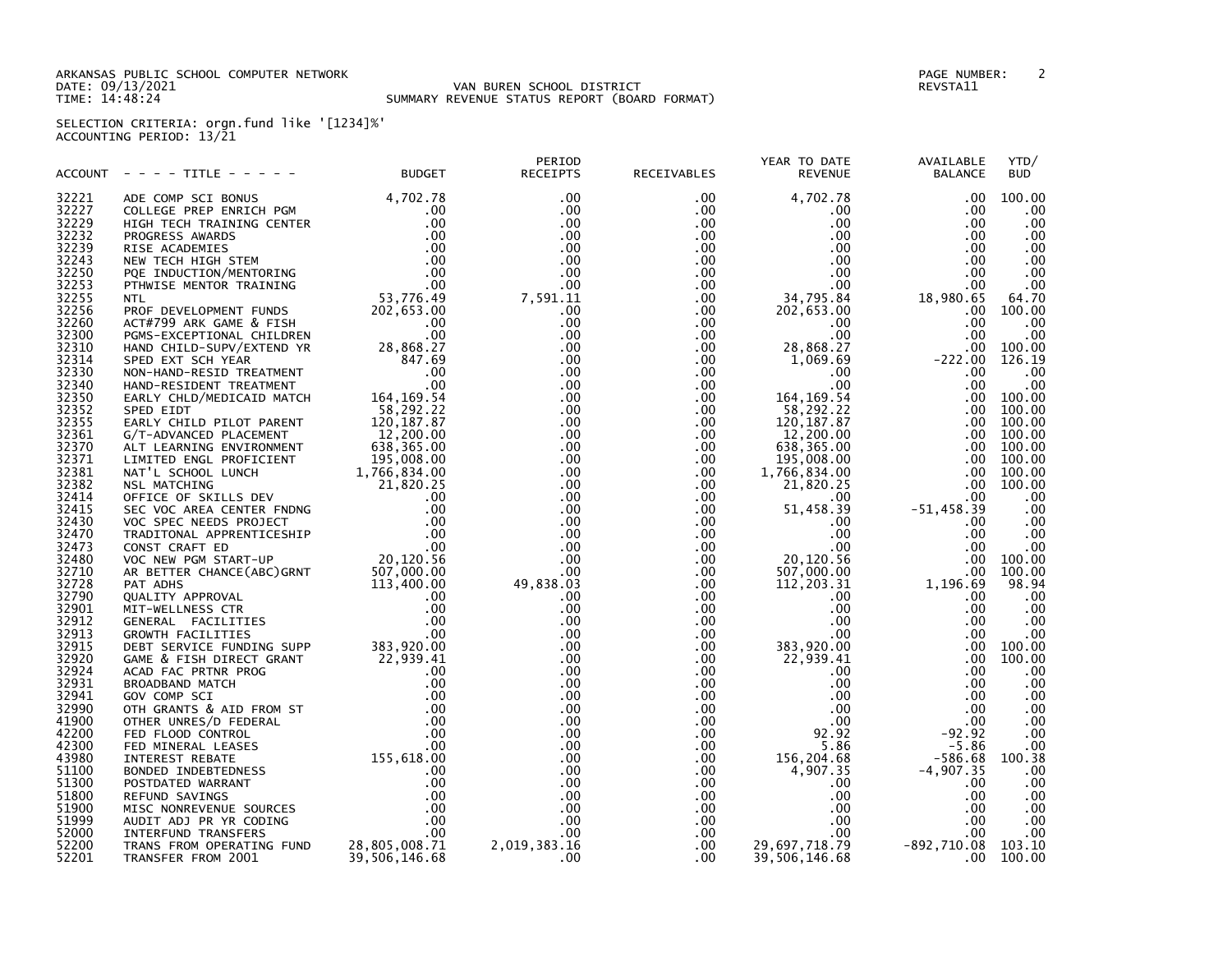ARKANSAS PUBLIC SCHOOL COMPUTER NETWORK PAGE NUMBER: 2 TIME: 14:48:24 SUMMARY REVENUE STATUS REPORT (BOARD FORMAT)

DATE: 09/13/2021 VAN BUREN SCHOOL DISTRICT REVSTA11

SELECTION CRITERIA: orgn.fund like '[1234]%' ACCOUNTING PERIOD: 13/21

|                | ACCOUNT - - - TITLE - - - - - - BUDGET RECEIPTS | PERIOD | RECEIVABLES | YEAR TO DATE<br>REVENUE | AVAILABLE<br><b>BALANCE</b><br>$\begin{array}{cccc} \text{VERR TO DATE} & \text{WATLABLE} & \text{YFD} \\ \text{RBLES} & \text{REVENTUE} & \text{BALAIME} & \text{YFD} \\ \text{LMEL S} & \text{REVENTUE} & \text{BALAIME} & \text{YFD} \\ \text{LMEL S} & \text{RALVILE} & \text{BALAIME} & \text{YFD} \\ \text{LMEL S} & \text{LMEV INILE} & \text{BALAIME} & \text{YFD} \\ \text{LMEL S} & \text{LMEV INILE} & \text{LMEV} \\ \text{LMEL S} & \text{LMEV} & \text{LMEV} \\ \$ | YTD/<br><b>BUD</b> |
|----------------|-------------------------------------------------|--------|-------------|-------------------------|----------------------------------------------------------------------------------------------------------------------------------------------------------------------------------------------------------------------------------------------------------------------------------------------------------------------------------------------------------------------------------------------------------------------------------------------------------------------------------|--------------------|
| 32221          |                                                 |        |             |                         |                                                                                                                                                                                                                                                                                                                                                                                                                                                                                  |                    |
| 32227          |                                                 |        |             |                         |                                                                                                                                                                                                                                                                                                                                                                                                                                                                                  |                    |
| 32229          |                                                 |        |             |                         |                                                                                                                                                                                                                                                                                                                                                                                                                                                                                  |                    |
| 32232          |                                                 |        |             |                         |                                                                                                                                                                                                                                                                                                                                                                                                                                                                                  |                    |
| 32239          |                                                 |        |             |                         |                                                                                                                                                                                                                                                                                                                                                                                                                                                                                  |                    |
| 32243          |                                                 |        |             |                         |                                                                                                                                                                                                                                                                                                                                                                                                                                                                                  |                    |
| 32250          |                                                 |        |             |                         |                                                                                                                                                                                                                                                                                                                                                                                                                                                                                  |                    |
| 32253          |                                                 |        |             |                         |                                                                                                                                                                                                                                                                                                                                                                                                                                                                                  |                    |
| 32255          |                                                 |        |             |                         |                                                                                                                                                                                                                                                                                                                                                                                                                                                                                  |                    |
| 32256          |                                                 |        |             |                         |                                                                                                                                                                                                                                                                                                                                                                                                                                                                                  |                    |
| 32260          |                                                 |        |             |                         |                                                                                                                                                                                                                                                                                                                                                                                                                                                                                  |                    |
| 32300          |                                                 |        |             |                         |                                                                                                                                                                                                                                                                                                                                                                                                                                                                                  |                    |
| 32310          |                                                 |        |             |                         |                                                                                                                                                                                                                                                                                                                                                                                                                                                                                  |                    |
| 32314          |                                                 |        |             |                         |                                                                                                                                                                                                                                                                                                                                                                                                                                                                                  |                    |
| 32330          |                                                 |        |             |                         |                                                                                                                                                                                                                                                                                                                                                                                                                                                                                  |                    |
| 32340          |                                                 |        |             |                         |                                                                                                                                                                                                                                                                                                                                                                                                                                                                                  |                    |
| 32350          |                                                 |        |             |                         |                                                                                                                                                                                                                                                                                                                                                                                                                                                                                  |                    |
|                |                                                 |        |             |                         |                                                                                                                                                                                                                                                                                                                                                                                                                                                                                  |                    |
| 32352<br>32355 |                                                 |        |             |                         |                                                                                                                                                                                                                                                                                                                                                                                                                                                                                  |                    |
|                |                                                 |        |             |                         |                                                                                                                                                                                                                                                                                                                                                                                                                                                                                  |                    |
| 32361<br>32370 |                                                 |        |             |                         |                                                                                                                                                                                                                                                                                                                                                                                                                                                                                  |                    |
|                |                                                 |        |             |                         |                                                                                                                                                                                                                                                                                                                                                                                                                                                                                  |                    |
| 32371          |                                                 |        |             |                         |                                                                                                                                                                                                                                                                                                                                                                                                                                                                                  |                    |
| 32381          |                                                 |        |             |                         |                                                                                                                                                                                                                                                                                                                                                                                                                                                                                  |                    |
| 32382          |                                                 |        |             |                         |                                                                                                                                                                                                                                                                                                                                                                                                                                                                                  |                    |
| 32414          |                                                 |        |             |                         |                                                                                                                                                                                                                                                                                                                                                                                                                                                                                  |                    |
| 32415          |                                                 |        |             |                         |                                                                                                                                                                                                                                                                                                                                                                                                                                                                                  |                    |
| 32430          |                                                 |        |             |                         |                                                                                                                                                                                                                                                                                                                                                                                                                                                                                  |                    |
| 32470          |                                                 |        |             |                         |                                                                                                                                                                                                                                                                                                                                                                                                                                                                                  |                    |
| 32473          |                                                 |        |             |                         |                                                                                                                                                                                                                                                                                                                                                                                                                                                                                  |                    |
| 32480          |                                                 |        |             |                         |                                                                                                                                                                                                                                                                                                                                                                                                                                                                                  |                    |
| 32710          |                                                 |        |             |                         |                                                                                                                                                                                                                                                                                                                                                                                                                                                                                  |                    |
| 32728          |                                                 |        |             |                         |                                                                                                                                                                                                                                                                                                                                                                                                                                                                                  |                    |
| 32790          |                                                 |        |             |                         |                                                                                                                                                                                                                                                                                                                                                                                                                                                                                  |                    |
| 32901          |                                                 |        |             |                         |                                                                                                                                                                                                                                                                                                                                                                                                                                                                                  |                    |
| 32912          |                                                 |        |             |                         |                                                                                                                                                                                                                                                                                                                                                                                                                                                                                  |                    |
| 32913          |                                                 |        |             |                         |                                                                                                                                                                                                                                                                                                                                                                                                                                                                                  |                    |
| 32915          |                                                 |        |             |                         |                                                                                                                                                                                                                                                                                                                                                                                                                                                                                  |                    |
| 32920          |                                                 |        |             |                         |                                                                                                                                                                                                                                                                                                                                                                                                                                                                                  |                    |
| 32924          |                                                 |        |             |                         |                                                                                                                                                                                                                                                                                                                                                                                                                                                                                  |                    |
| 32931          |                                                 |        |             |                         |                                                                                                                                                                                                                                                                                                                                                                                                                                                                                  |                    |
| 32941          |                                                 |        |             |                         |                                                                                                                                                                                                                                                                                                                                                                                                                                                                                  |                    |
| 32990          |                                                 |        |             |                         |                                                                                                                                                                                                                                                                                                                                                                                                                                                                                  |                    |
| 41900          |                                                 |        |             |                         |                                                                                                                                                                                                                                                                                                                                                                                                                                                                                  |                    |
| 42200          |                                                 |        |             |                         |                                                                                                                                                                                                                                                                                                                                                                                                                                                                                  |                    |
| 42300          |                                                 |        |             |                         |                                                                                                                                                                                                                                                                                                                                                                                                                                                                                  |                    |
| 43980          |                                                 |        |             |                         |                                                                                                                                                                                                                                                                                                                                                                                                                                                                                  |                    |
| 51100          |                                                 |        |             |                         |                                                                                                                                                                                                                                                                                                                                                                                                                                                                                  |                    |
| 51300          |                                                 |        |             |                         |                                                                                                                                                                                                                                                                                                                                                                                                                                                                                  |                    |
| 51800          |                                                 |        |             |                         |                                                                                                                                                                                                                                                                                                                                                                                                                                                                                  |                    |
| 51900          |                                                 |        |             |                         |                                                                                                                                                                                                                                                                                                                                                                                                                                                                                  |                    |
| 51999          |                                                 |        |             |                         |                                                                                                                                                                                                                                                                                                                                                                                                                                                                                  |                    |
| 52000          |                                                 |        |             |                         |                                                                                                                                                                                                                                                                                                                                                                                                                                                                                  |                    |
| 52200          |                                                 |        |             |                         |                                                                                                                                                                                                                                                                                                                                                                                                                                                                                  |                    |
| 52201          |                                                 |        |             |                         |                                                                                                                                                                                                                                                                                                                                                                                                                                                                                  |                    |